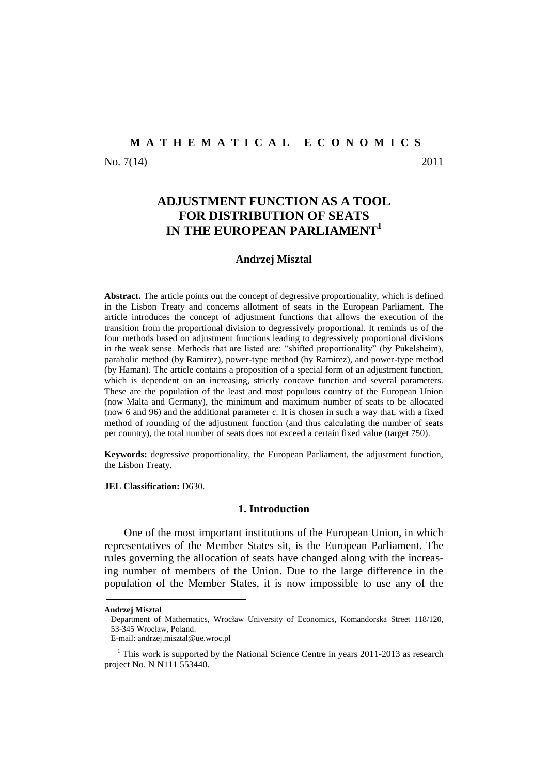No. 7(14) 2011

# **ADJUSTMENT FUNCTION AS A TOOL FOR DISTRIBUTION OF SEATS IN THE EUROPEAN PARLIAMENT<sup>1</sup>**

# **Andrzej Misztal**

**Abstract.** The article points out the concept of degressive proportionality, which is defined in the Lisbon Treaty and concerns allotment of seats in the European Parliament. The article introduces the concept of adjustment functions that allows the execution of the transition from the proportional division to degressively proportional. It reminds us of the four methods based on adjustment functions leading to degressively proportional divisions in the weak sense. Methods that are listed are: "shifted proportionality" (by Pukelsheim), parabolic method (by Ramirez), power-type method (by Ramirez), and power-type method (by Haman). The article contains a proposition of a special form of an adjustment function, which is dependent on an increasing, strictly concave function and several parameters. These are the population of the least and most populous country of the European Union (now Malta and Germany), the minimum and maximum number of seats to be allocated (now 6 and 96) and the additional parameter *c.* It is chosen in such a way that, with a fixed method of rounding of the adjustment function (and thus calculating the number of seats per country), the total number of seats does not exceed a certain fixed value (target 750).

**Keywords:** degressive proportionality, the European Parliament, the adjustment function, the Lisbon Treaty.

**JEL Classification:** D630.

# **1. Introduction**

One of the most important institutions of the European Union, in which representatives of the Member States sit, is the European Parliament. The rules governing the allocation of seats have changed along with the increasing number of members of the Union. Due to the large difference in the population of the Member States, it is now impossible to use any of the

**Andrzej Misztal**

Department of Mathematics, Wrocław University of Economics, Komandorska Street 118/120, 53-345 Wrocław, Poland.

E-mail: andrzej.misztal@ue.wroc.pl

 $1$  This work is supported by the National Science Centre in years 2011-2013 as research project No. N N111 553440.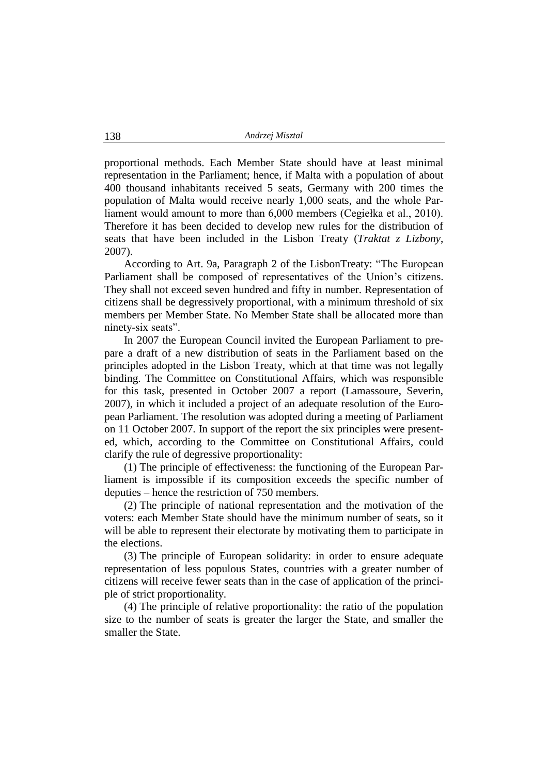proportional methods. Each Member State should have at least minimal representation in the Parliament; hence, if Malta with a population of about 400 thousand inhabitants received 5 seats, Germany with 200 times the population of Malta would receive nearly 1,000 seats, and the whole Parliament would amount to more than 6,000 members (Cegiełka et al., 2010). Therefore it has been decided to develop new rules for the distribution of seats that have been included in the Lisbon Treaty (*Traktat z Lizbony*, 2007).

According to Art. 9a, Paragraph 2 of the LisbonTreaty: "The European Parliament shall be composed of representatives of the Union"s citizens. They shall not exceed seven hundred and fifty in number. Representation of citizens shall be degressively proportional, with a minimum threshold of six members per Member State. No Member State shall be allocated more than ninety-six seats".

In 2007 the European Council invited the European Parliament to prepare a draft of a new distribution of seats in the Parliament based on the principles adopted in the Lisbon Treaty, which at that time was not legally binding. The Committee on Constitutional Affairs, which was responsible for this task, presented in October 2007 a report (Lamassoure, Severin, 2007), in which it included a project of an adequate resolution of the European Parliament. The resolution was adopted during a meeting of Parliament on 11 October 2007. In support of the report the six principles were presented, which, according to the Committee on Constitutional Affairs, could clarify the rule of degressive proportionality:

(1) The principle of effectiveness: the functioning of the European Parliament is impossible if its composition exceeds the specific number of deputies – hence the restriction of 750 members.

(2) The principle of national representation and the motivation of the voters: each Member State should have the minimum number of seats, so it will be able to represent their electorate by motivating them to participate in the elections.

(3) The principle of European solidarity: in order to ensure adequate representation of less populous States, countries with a greater number of citizens will receive fewer seats than in the case of application of the principle of strict proportionality.

(4) The principle of relative proportionality: the ratio of the population size to the number of seats is greater the larger the State, and smaller the smaller the State.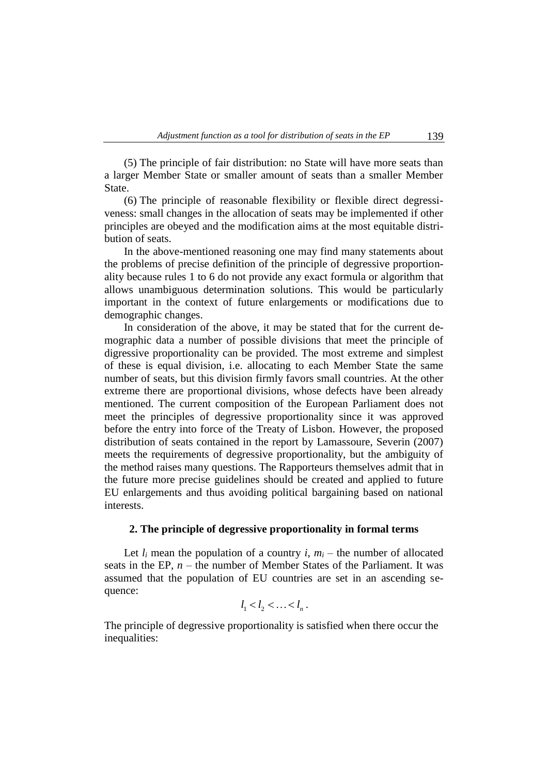(5) The principle of fair distribution: no State will have more seats than a larger Member State or smaller amount of seats than a smaller Member State.

(6) The principle of reasonable flexibility or flexible direct degressiveness: small changes in the allocation of seats may be implemented if other principles are obeyed and the modification aims at the most equitable distribution of seats.

In the above-mentioned reasoning one may find many statements about the problems of precise definition of the principle of degressive proportionality because rules 1 to 6 do not provide any exact formula or algorithm that allows unambiguous determination solutions. This would be particularly important in the context of future enlargements or modifications due to demographic changes.

In consideration of the above, it may be stated that for the current demographic data a number of possible divisions that meet the principle of digressive proportionality can be provided. The most extreme and simplest of these is equal division, i.e. allocating to each Member State the same number of seats, but this division firmly favors small countries. At the other extreme there are proportional divisions, whose defects have been already mentioned. The current composition of the European Parliament does not meet the principles of degressive proportionality since it was approved before the entry into force of the Treaty of Lisbon. However, the proposed distribution of seats contained in the report by Lamassoure, Severin (2007) meets the requirements of degressive proportionality, but the ambiguity of the method raises many questions. The Rapporteurs themselves admit that in the future more precise guidelines should be created and applied to future EU enlargements and thus avoiding political bargaining based on national interests.

# **2. The principle of degressive proportionality in formal terms**

Let  $l_i$  mean the population of a country  $i$ ,  $m_i$  – the number of allocated seats in the EP,  $n -$  the number of Member States of the Parliament. It was assumed that the population of EU countries are set in an ascending sequence:

$$
l_1 < l_2 < \ldots < l_n.
$$

The principle of degressive proportionality is satisfied when there occur the inequalities: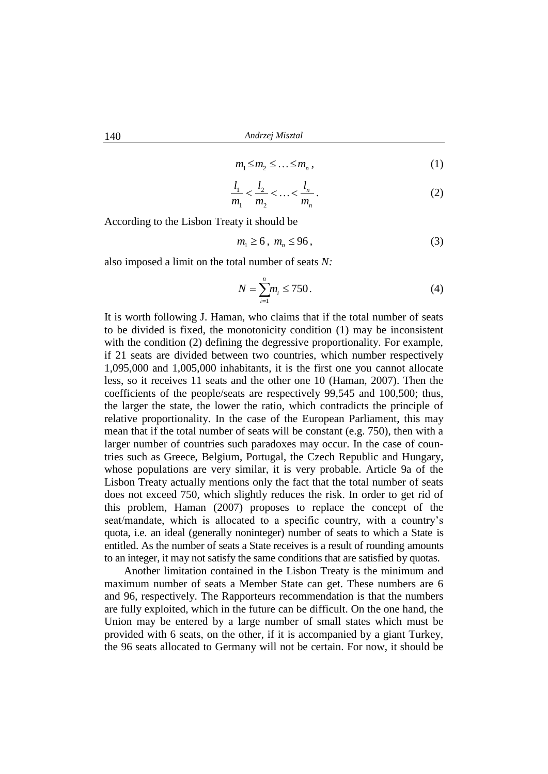$$
m_1 \le m_2 \le \dots \le m_n \,,\tag{1}
$$

$$
\frac{l_1}{m_1} < \frac{l_2}{m_2} < \ldots < \frac{l_n}{m_n} \,. \tag{2}
$$

According to the Lisbon Treaty it should be

$$
m_1 \ge 6 \,,\ m_n \le 96 \,,\tag{3}
$$

also imposed a limit on the total number of seats *N:*

$$
N = \sum_{i=1}^{n} m_i \le 750.
$$
 (4)

It is worth following J. Haman, who claims that if the total number of seats to be divided is fixed, the monotonicity condition (1) may be inconsistent with the condition (2) defining the degressive proportionality. For example, if 21 seats are divided between two countries, which number respectively 1,095,000 and 1,005,000 inhabitants, it is the first one you cannot allocate less, so it receives 11 seats and the other one 10 (Haman, 2007). Then the coefficients of the people/seats are respectively 99,545 and 100,500; thus, the larger the state, the lower the ratio, which contradicts the principle of relative proportionality. In the case of the European Parliament, this may mean that if the total number of seats will be constant (e.g. 750), then with a larger number of countries such paradoxes may occur. In the case of countries such as Greece, Belgium, Portugal, the Czech Republic and Hungary, whose populations are very similar, it is very probable. Article 9a of the Lisbon Treaty actually mentions only the fact that the total number of seats does not exceed 750, which slightly reduces the risk. In order to get rid of this problem, Haman (2007) proposes to replace the concept of the seat/mandate, which is allocated to a specific country, with a country"s quota, i.e. an ideal (generally noninteger) number of seats to which a State is entitled. As the number of seats a State receives is a result of rounding amounts to an integer, it may not satisfy the same conditions that are satisfied by quotas.

Another limitation contained in the Lisbon Treaty is the minimum and maximum number of seats a Member State can get. These numbers are 6 and 96, respectively. The Rapporteurs recommendation is that the numbers are fully exploited, which in the future can be difficult. On the one hand, the Union may be entered by a large number of small states which must be provided with 6 seats, on the other, if it is accompanied by a giant Turkey, the 96 seats allocated to Germany will not be certain. For now, it should be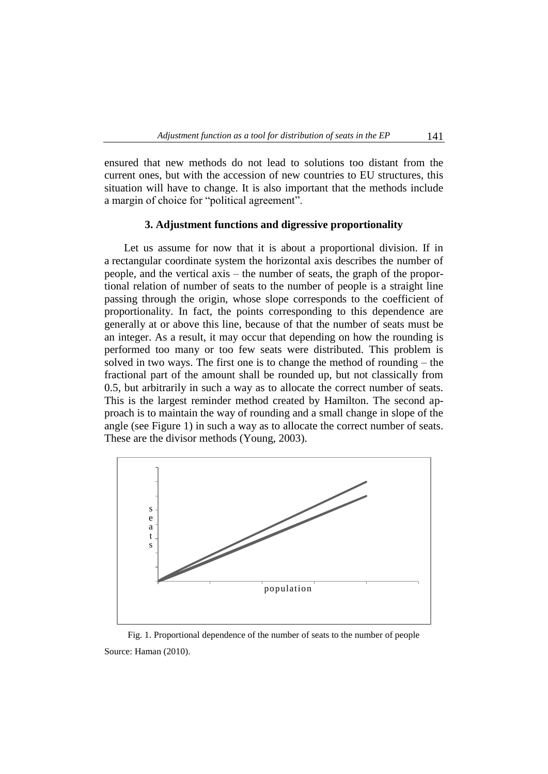ensured that new methods do not lead to solutions too distant from the current ones, but with the accession of new countries to EU structures, this situation will have to change. It is also important that the methods include a margin of choice for "political agreement".

## **3. Adjustment functions and digressive proportionality**

Let us assume for now that it is about a proportional division. If in a rectangular coordinate system the horizontal axis describes the number of people, and the vertical axis – the number of seats, the graph of the proportional relation of number of seats to the number of people is a straight line passing through the origin, whose slope corresponds to the coefficient of proportionality. In fact, the points corresponding to this dependence are generally at or above this line, because of that the number of seats must be an integer. As a result, it may occur that depending on how the rounding is performed too many or too few seats were distributed. This problem is solved in two ways. The first one is to change the method of rounding – the fractional part of the amount shall be rounded up, but not classically from 0.5, but arbitrarily in such a way as to allocate the correct number of seats. This is the largest reminder method created by Hamilton. The second approach is to maintain the way of rounding and a small change in slope of the angle (see Figure 1) in such a way as to allocate the correct number of seats. These are the divisor methods (Young, 2003).



Fig. 1. Proportional dependence of the number of seats to the number of people Source: Haman (2010).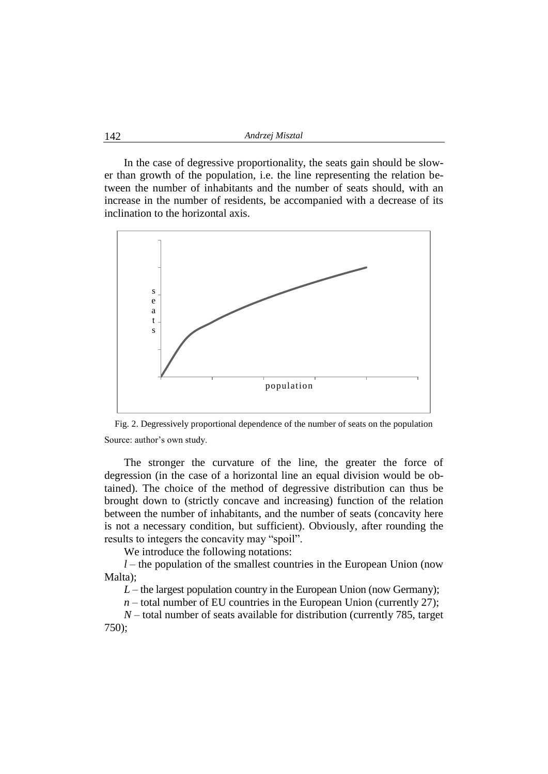In the case of degressive proportionality, the seats gain should be slower than growth of the population, i.e. the line representing the relation between the number of inhabitants and the number of seats should, with an increase in the number of residents, be accompanied with a decrease of its inclination to the horizontal axis.



Fig. 2. Degressively proportional dependence of the number of seats on the population Source: author's own study.

The stronger the curvature of the line, the greater the force of degression (in the case of a horizontal line an equal division would be obtained). The choice of the method of degressive distribution can thus be brought down to (strictly concave and increasing) function of the relation between the number of inhabitants, and the number of seats (concavity here is not a necessary condition, but sufficient). Obviously, after rounding the results to integers the concavity may "spoil".

We introduce the following notations:

*l* – the population of the smallest countries in the European Union (now Malta);

 $L$  – the largest population country in the European Union (now Germany);

 $n -$  total number of EU countries in the European Union (currently 27);

*N* – total number of seats available for distribution (currently 785, target 750);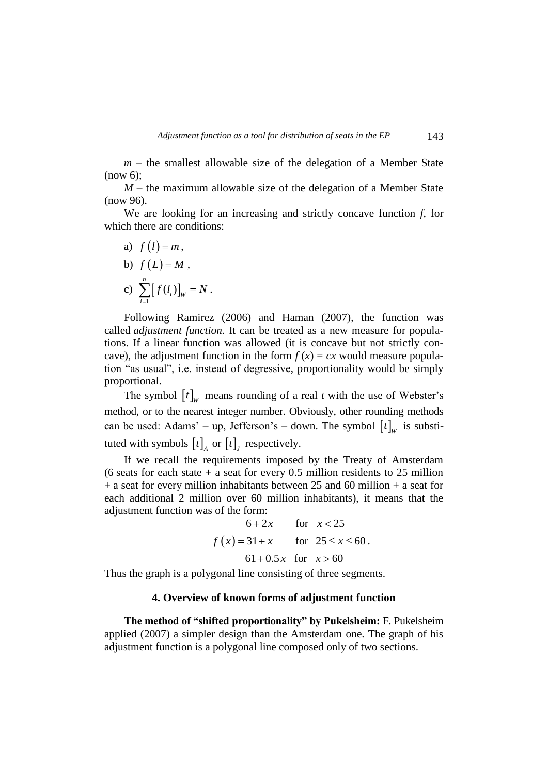$m$  – the smallest allowable size of the delegation of a Member State (now 6);

*M* – the maximum allowable size of the delegation of a Member State (now 96).

We are looking for an increasing and strictly concave function *f*, for which there are conditions:

a)  $f(l) = m$ ,

b) 
$$
f(L) = M
$$
,  
c)  $\sum_{i=1}^{n} [f(l_i)]_w = N$ .

Following Ramirez (2006) and Haman (2007), the function was called *adjustment function.* It can be treated as a new measure for populations. If a linear function was allowed (it is concave but not strictly concave), the adjustment function in the form  $f(x) = cx$  would measure population "as usual", i.e. instead of degressive, proportionality would be simply proportional.

The symbol  $[t]_w$  means rounding of a real *t* with the use of Webster's method, or to the nearest integer number. Obviously, other rounding methods can be used: Adams' – up, Jefferson's – down. The symbol  $[t]_w$  is substituted with symbols  $[t]_A$  or  $[t]_J$  respectively.

If we recall the requirements imposed by the Treaty of Amsterdam (6 seats for each state  $+$  a seat for every 0.5 million residents to 25 million + a seat for every million inhabitants between 25 and 60 million + a seat for each additional 2 million over 60 million inhabitants), it means that the adjustment function was of the form:

of the form:  
\n
$$
6+2x
$$
 for  $x < 25$   
\n $f(x) = 31+x$  for  $25 \le x \le 60$ .  
\n $61+0.5x$  for  $x > 60$ 

Thus the graph is a polygonal line consisting of three segments.

#### **4. Overview of known forms of adjustment function**

**The method of "shifted proportionality" by Pukelsheim:** F. Pukelsheim applied (2007) a simpler design than the Amsterdam one. The graph of his adjustment function is a polygonal line composed only of two sections.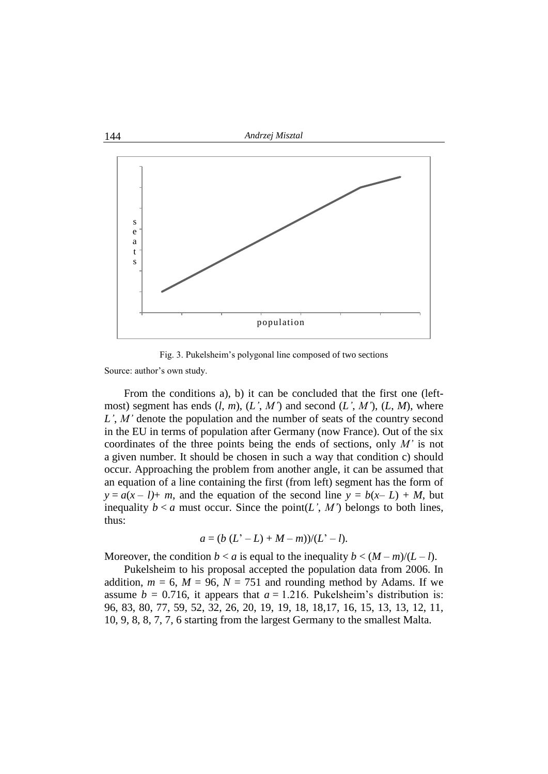

Fig. 3. Pukelsheim"s polygonal line composed of two sections

Source: author's own study.

From the conditions a), b) it can be concluded that the first one (leftmost) segment has ends  $(l, m)$ ,  $(L', M')$  and second  $(L', M')$ ,  $(L, M)$ , where *L'*, *M'* denote the population and the number of seats of the country second in the EU in terms of population after Germany (now France). Out of the six coordinates of the three points being the ends of sections, only *M'* is not a given number. It should be chosen in such a way that condition c) should occur. Approaching the problem from another angle, it can be assumed that an equation of a line containing the first (from left) segment has the form of  $y = a(x - 1) + m$ , and the equation of the second line  $y = b(x - L) + M$ , but inequality  $b < a$  must occur. Since the point(*L'*, *M'*) belongs to both lines, thus:

$$
a = (b (L2 - L) + M - m)/(L2 - l).
$$

Moreover, the condition  $b < a$  is equal to the inequality  $b < (M-m)/(L-l)$ .

Pukelsheim to his proposal accepted the population data from 2006. In addition,  $m = 6$ ,  $M = 96$ ,  $N = 751$  and rounding method by Adams. If we assume  $b = 0.716$ , it appears that  $a = 1.216$ . Pukelsheim's distribution is: 96, 83, 80, 77, 59, 52, 32, 26, 20, 19, 19, 18, 18,17, 16, 15, 13, 13, 12, 11, 10, 9, 8, 8, 7, 7, 6 starting from the largest Germany to the smallest Malta.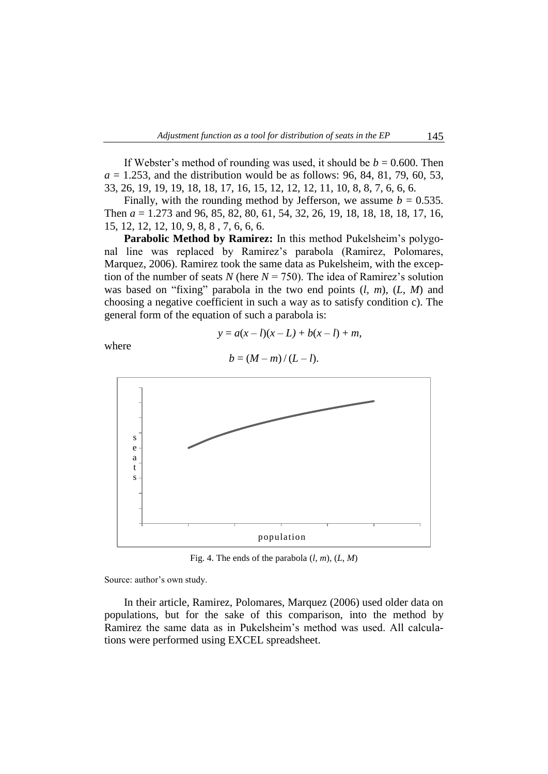If Webster's method of rounding was used, it should be  $b = 0.600$ . Then  $a = 1.253$ , and the distribution would be as follows: 96, 84, 81, 79, 60, 53, 33, 26, 19, 19, 19, 18, 18, 17, 16, 15, 12, 12, 12, 11, 10, 8, 8, 7, 6, 6, 6.

Finally, with the rounding method by Jefferson, we assume  $b = 0.535$ . Then *a* = 1.273 and 96, 85, 82, 80, 61, 54, 32, 26, 19, 18, 18, 18, 18, 17, 16, 15, 12, 12, 12, 10, 9, 8, 8 , 7, 6, 6, 6.

**Parabolic Method by Ramirez:** In this method Pukelsheim's polygonal line was replaced by Ramirez"s parabola (Ramirez, Polomares, Marquez, 2006). Ramirez took the same data as Pukelsheim, with the exception of the number of seats *N* (here  $N = 750$ ). The idea of Ramirez's solution was based on "fixing" parabola in the two end points (*l, m*), (*L*, *M*) and choosing a negative coefficient in such a way as to satisfy condition c). The general form of the equation of such a parabola is:

$$
y = a(x - l)(x - L) + b(x - l) + m,
$$

where

 $b = (M - m)/(L - l)$ .



Fig. 4. The ends of the parabola  $(l, m)$ ,  $(L, M)$ 

Source: author's own study.

In their article, Ramirez, Polomares, Marquez (2006) used older data on populations, but for the sake of this comparison, into the method by Ramirez the same data as in Pukelsheim"s method was used. All calculations were performed using EXCEL spreadsheet.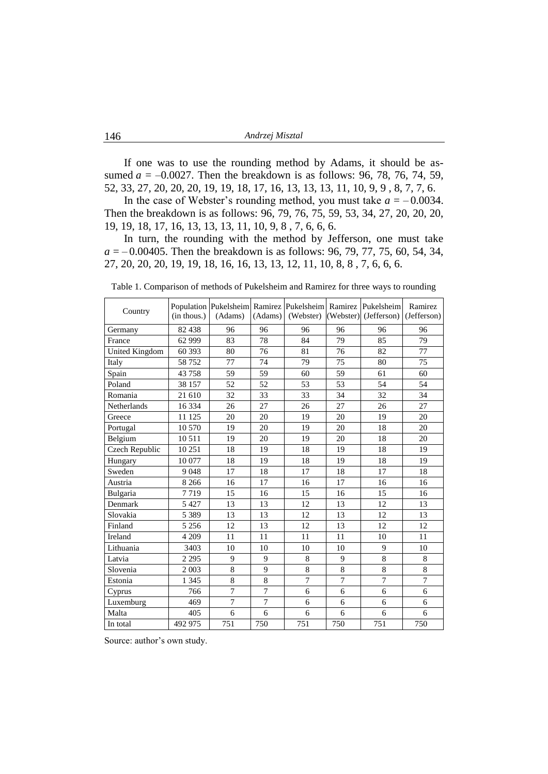If one was to use the rounding method by Adams, it should be assumed  $a = -0.0027$ . Then the breakdown is as follows: 96, 78, 76, 74, 59, 52, 33, 27, 20, 20, 20, 19, 19, 18, 17, 16, 13, 13, 13, 11, 10, 9, 9 , 8, 7, 7, 6.

In the case of Webster's rounding method, you must take  $a = -0.0034$ . Then the breakdown is as follows: 96, 79, 76, 75, 59, 53, 34, 27, 20, 20, 20, 19, 19, 18, 17, 16, 13, 13, 13, 11, 10, 9, 8 , 7, 6, 6, 6.

In turn, the rounding with the method by Jefferson, one must take  $a = -0.00405$ . Then the breakdown is as follows: 96, 79, 77, 75, 60, 54, 34, 27, 20, 20, 20, 19, 19, 18, 16, 16, 13, 13, 12, 11, 10, 8, 8 , 7, 6, 6, 6.

| Country        | $(in$ thous. $)$ | (Adams)        | (Adams)        | Population Pukelsheim Ramirez Pukelsheim Ramirez Pukelsheim<br>(Webster) |                | $(Webster)$ (Jefferson) | Ramirez<br>(Jefferson) |
|----------------|------------------|----------------|----------------|--------------------------------------------------------------------------|----------------|-------------------------|------------------------|
| Germany        | 82 438           | 96             | 96             | 96                                                                       | 96             | 96                      | 96                     |
| France         | 62 9 99          | 83             | 78             | 84                                                                       | 79             | 85                      | 79                     |
| United Kingdom | 60 393           | 80             | 76             | 81                                                                       | 76             | 82                      | 77                     |
| Italy          | 58752            | 77             | 74             | 79                                                                       | 75             | 80                      | 75                     |
| Spain          | 43758            | 59             | 59             | 60                                                                       | 59             | 61                      | 60                     |
| Poland         | 38 157           | 52             | 52             | 53                                                                       | 53             | 54                      | 54                     |
| Romania        | 21 610           | 32             | 33             | 33                                                                       | 34             | 32                      | 34                     |
| Netherlands    | 16 3 34          | 26             | 27             | 26                                                                       | 27             | 26                      | 27                     |
| Greece         | 11 125           | 20             | 20             | 19                                                                       | 20             | 19                      | 20                     |
| Portugal       | 10 570           | 19             | 20             | 19                                                                       | 20             | 18                      | 20                     |
| Belgium        | 10511            | 19             | 20             | 19                                                                       | 20             | 18                      | 20                     |
| Czech Republic | 10 251           | 18             | 19             | 18                                                                       | 19             | 18                      | 19                     |
| Hungary        | 10 077           | 18             | 19             | 18                                                                       | 19             | 18                      | 19                     |
| Sweden         | 9048             | 17             | 18             | 17                                                                       | 18             | 17                      | 18                     |
| Austria        | 8 2 6 6          | 16             | 17             | 16                                                                       | 17             | 16                      | 16                     |
| Bulgaria       | 7719             | 15             | 16             | 15                                                                       | 16             | 15                      | 16                     |
| Denmark        | 5 4 2 7          | 13             | 13             | 12                                                                       | 13             | 12                      | 13                     |
| Slovakia       | 5 3 8 9          | 13             | 13             | 12                                                                       | 13             | 12                      | 13                     |
| Finland        | 5 2 5 6          | 12             | 13             | 12                                                                       | 13             | 12                      | 12                     |
| Ireland        | 4 209            | 11             | 11             | 11                                                                       | 11             | 10                      | 11                     |
| Lithuania      | 3403             | 10             | 10             | 10                                                                       | 10             | 9                       | 10                     |
| Latvia         | 2 2 9 5          | 9              | 9              | 8                                                                        | 9              | 8                       | 8                      |
| Slovenia       | 2 0 0 3          | 8              | 9              | 8                                                                        | 8              | $\,$ 8 $\,$             | 8                      |
| Estonia        | 1 3 4 5          | 8              | 8              | $\tau$                                                                   | $\overline{7}$ | 7                       | $\overline{7}$         |
| Cyprus         | 766              | $\overline{7}$ | $\overline{7}$ | 6                                                                        | 6              | 6                       | 6                      |
| Luxemburg      | 469              | $\overline{7}$ | $\overline{7}$ | 6                                                                        | 6              | 6                       | 6                      |
| Malta          | 405              | 6              | 6              | 6                                                                        | 6              | 6                       | 6                      |
| In total       | 492 975          | 751            | 750            | 751                                                                      | 750            | 751                     | 750                    |

Table 1. Comparison of methods of Pukelsheim and Ramirez for three ways to rounding

Source: author's own study.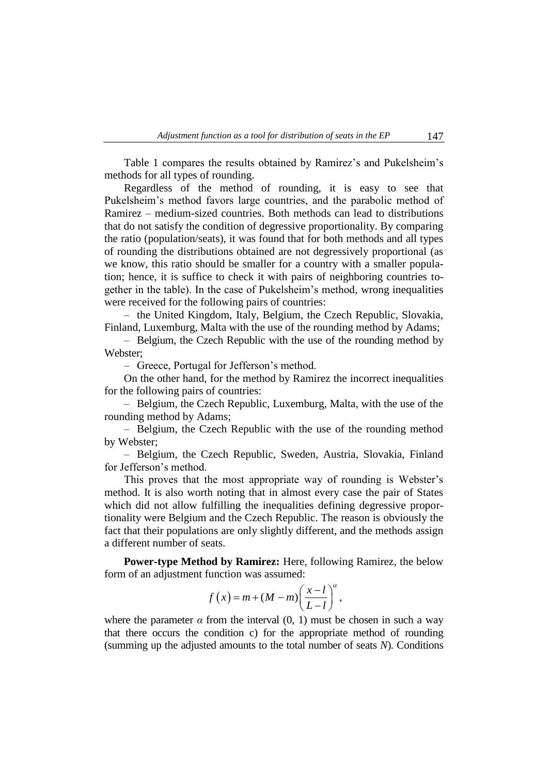Table 1 compares the results obtained by Ramirez's and Pukelsheim's methods for all types of rounding.

Regardless of the method of rounding, it is easy to see that Pukelsheim"s method favors large countries, and the parabolic method of Ramirez – medium-sized countries. Both methods can lead to distributions that do not satisfy the condition of degressive proportionality. By comparing the ratio (population/seats), it was found that for both methods and all types of rounding the distributions obtained are not degressively proportional (as we know, this ratio should be smaller for a country with a smaller population; hence, it is suffice to check it with pairs of neighboring countries together in the table). In the case of Pukelsheim"s method, wrong inequalities were received for the following pairs of countries:

– the United Kingdom, Italy, Belgium, the Czech Republic, Slovakia, Finland, Luxemburg, Malta with the use of the rounding method by Adams;

– Belgium, the Czech Republic with the use of the rounding method by Webster;

– Greece, Portugal for Jefferson"s method.

On the other hand, for the method by Ramirez the incorrect inequalities for the following pairs of countries:

– Belgium, the Czech Republic, Luxemburg, Malta, with the use of the rounding method by Adams;

– Belgium, the Czech Republic with the use of the rounding method by Webster;

– Belgium, the Czech Republic, Sweden, Austria, Slovakia, Finland for Jefferson"s method.

This proves that the most appropriate way of rounding is Webster's method. It is also worth noting that in almost every case the pair of States which did not allow fulfilling the inequalities defining degressive proportionality were Belgium and the Czech Republic. The reason is obviously the fact that their populations are only slightly different, and the methods assign a different number of seats.

**Power-type Method by Ramirez:** Here, following Ramirez, the below form of an adjustment function was assumed:

function was assumed:  

$$
f(x) = m + (M - m) \left(\frac{x - l}{L - l}\right)^{\alpha},
$$

where the parameter  $\alpha$  from the interval  $(0, 1)$  must be chosen in such a way that there occurs the condition c) for the appropriate method of rounding (summing up the adjusted amounts to the total number of seats *N*)*.* Conditions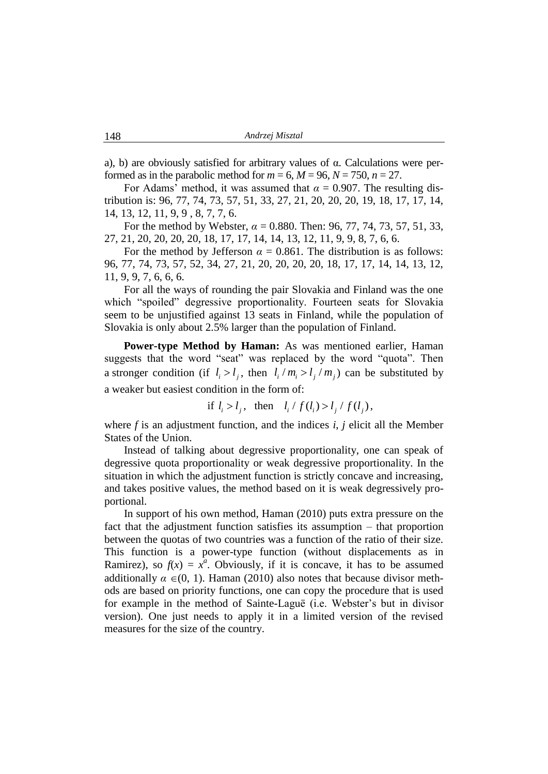a), b) are obviously satisfied for arbitrary values of α. Calculations were performed as in the parabolic method for  $m = 6$ ,  $M = 96$ ,  $N = 750$ ,  $n = 27$ .

For Adams' method, it was assumed that  $\alpha = 0.907$ . The resulting distribution is: 96, 77, 74, 73, 57, 51, 33, 27, 21, 20, 20, 20, 19, 18, 17, 17, 14, 14, 13, 12, 11, 9, 9 , 8, 7, 7, 6.

For the method by Webster, *α* = 0.880. Then: 96, 77, 74, 73, 57, 51, 33, 27, 21, 20, 20, 20, 20, 18, 17, 17, 14, 14, 13, 12, 11, 9, 9, 8, 7, 6, 6.

For the method by Jefferson  $\alpha = 0.861$ . The distribution is as follows: 96, 77, 74, 73, 57, 52, 34, 27, 21, 20, 20, 20, 20, 18, 17, 17, 14, 14, 13, 12, 11, 9, 9, 7, 6, 6, 6.

For all the ways of rounding the pair Slovakia and Finland was the one which "spoiled" degressive proportionality. Fourteen seats for Slovakia seem to be unjustified against 13 seats in Finland, while the population of Slovakia is only about 2.5% larger than the population of Finland.

Power-type Method by Haman: As was mentioned earlier, Haman suggests that the word "seat" was replaced by the word "quota". Then a stronger condition (if  $l_i > l_j$ , then  $l_i / m_i > l_j / m_j$ ) can be substituted by a weaker but easiest condition in the form of:

if  $l_i > l_j$ , then  $l_i / f(l_i) > l_j / f(l_j)$ ,

where *f* is an adjustment function, and the indices *i*, *j* elicit all the Member States of the Union.

Instead of talking about degressive proportionality, one can speak of degressive quota proportionality or weak degressive proportionality. In the situation in which the adjustment function is strictly concave and increasing, and takes positive values, the method based on it is weak degressively proportional.

In support of his own method, Haman (2010) puts extra pressure on the fact that the adjustment function satisfies its assumption – that proportion between the quotas of two countries was a function of the ratio of their size. This function is a power-type function (without displacements as in Ramirez), so  $f(x) = x^a$ . Obviously, if it is concave, it has to be assumed additionally  $\alpha \in (0, 1)$ . Haman (2010) also notes that because divisor methods are based on priority functions, one can copy the procedure that is used for example in the method of Sainte-Laguë (i.e. Webster"s but in divisor version). One just needs to apply it in a limited version of the revised measures for the size of the country.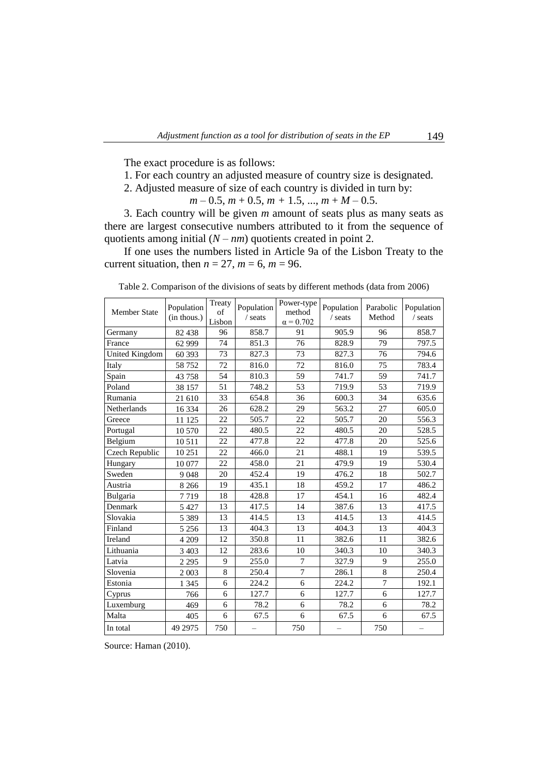The exact procedure is as follows:

- 1. For each country an adjusted measure of country size is designated.
- 2. Adjusted measure of size of each country is divided in turn by:

$$
m-0.5, m+0.5, m+1.5, ..., m+M-0.5.
$$

3. Each country will be given *m* amount of seats plus as many seats as there are largest consecutive numbers attributed to it from the sequence of quotients among initial  $(N - nm)$  quotients created in point 2.

If one uses the numbers listed in Article 9a of the Lisbon Treaty to the current situation, then  $n = 27$ ,  $m = 6$ ,  $m = 96$ .

Table 2. Comparison of the divisions of seats by different methods (data from 2006)

Member State  $\left| \text{Population} \atop \text{(in these)} \right|$  Treaty (in thous.) eaty<br>of Population Power-type<br>method Lisbon / seats method Population Parabolic Population  $α = 0.702$ / seats Method / seats

| Member State   | (in thous.) | ΟÌ<br>Lisbon | / seats | method<br>$\alpha$ = 0.702 | $/$ seats | Method         | / seats |
|----------------|-------------|--------------|---------|----------------------------|-----------|----------------|---------|
| Germany        | 82 438      | 96           | 858.7   | 91                         | 905.9     | 96             | 858.7   |
| France         | 62 999      | 74           | 851.3   | 76                         | 828.9     | 79             | 797.5   |
| United Kingdom | 60 393      | 73           | 827.3   | 73                         | 827.3     | 76             | 794.6   |
| Italy          | 58 7 52     | 72           | 816.0   | 72                         | 816.0     | 75             | 783.4   |
| Spain          | 43758       | 54           | 810.3   | 59                         | 741.7     | 59             | 741.7   |
| Poland         | 38 157      | 51           | 748.2   | 53                         | 719.9     | 53             | 719.9   |
| Rumania        | 21 610      | 33           | 654.8   | 36                         | 600.3     | 34             | 635.6   |
| Netherlands    | 16 3 34     | 26           | 628.2   | 29                         | 563.2     | 27             | 605.0   |
| Greece         | 11 125      | 22           | 505.7   | 22                         | 505.7     | 20             | 556.3   |
| Portugal       | 10 570      | 22           | 480.5   | 22                         | 480.5     | 20             | 528.5   |
| Belgium        | 10511       | 22           | 477.8   | 22                         | 477.8     | 20             | 525.6   |
| Czech Republic | 10 251      | 22           | 466.0   | 21                         | 488.1     | 19             | 539.5   |
| Hungary        | 10 077      | 22           | 458.0   | 21                         | 479.9     | 19             | 530.4   |
| Sweden         | 9048        | 20           | 452.4   | 19                         | 476.2     | 18             | 502.7   |
| Austria        | 8 2 6 6     | 19           | 435.1   | 18                         | 459.2     | 17             | 486.2   |
| Bulgaria       | 7719        | 18           | 428.8   | 17                         | 454.1     | 16             | 482.4   |
| Denmark        | 5 4 2 7     | 13           | 417.5   | 14                         | 387.6     | 13             | 417.5   |
| Slovakia       | 5 3 8 9     | 13           | 414.5   | 13                         | 414.5     | 13             | 414.5   |
| Finland        | 5 2 5 6     | 13           | 404.3   | 13                         | 404.3     | 13             | 404.3   |
| Ireland        | 4 2 0 9     | 12           | 350.8   | 11                         | 382.6     | 11             | 382.6   |
| Lithuania      | 3 4 0 3     | 12           | 283.6   | 10                         | 340.3     | 10             | 340.3   |
| Latvia         | 2 2 9 5     | 9            | 255.0   | $\overline{7}$             | 327.9     | 9              | 255.0   |
| Slovenia       | 2 0 0 3     | 8            | 250.4   | $\overline{7}$             | 286.1     | 8              | 250.4   |
| Estonia        | 1 3 4 5     | 6            | 224.2   | 6                          | 224.2     | $\overline{7}$ | 192.1   |
| Cyprus         | 766         | 6            | 127.7   | 6                          | 127.7     | 6              | 127.7   |
| Luxemburg      | 469         | 6            | 78.2    | 6                          | 78.2      | 6              | 78.2    |
| Malta          | 405         | 6            | 67.5    | 6                          | 67.5      | 6              | 67.5    |
| In total       | 49 2975     | 750          |         | 750                        |           | 750            |         |

Source: Haman (2010).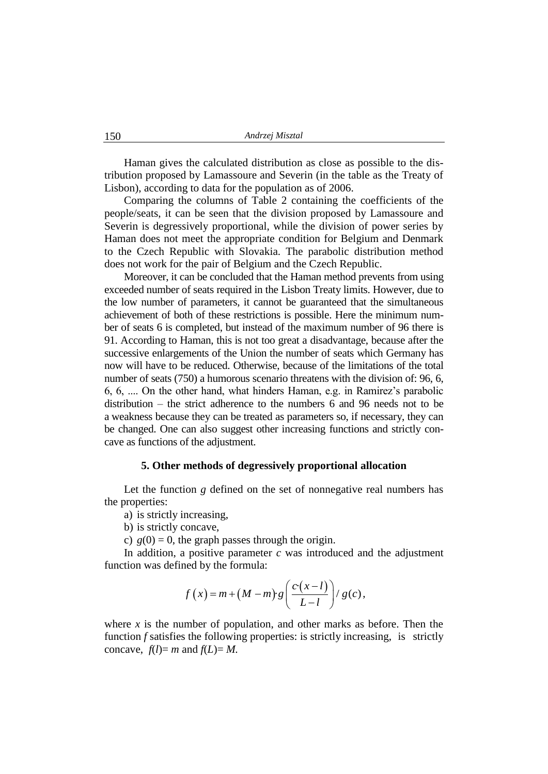Haman gives the calculated distribution as close as possible to the distribution proposed by Lamassoure and Severin (in the table as the Treaty of Lisbon), according to data for the population as of 2006.

Comparing the columns of Table 2 containing the coefficients of the people/seats, it can be seen that the division proposed by Lamassoure and Severin is degressively proportional, while the division of power series by Haman does not meet the appropriate condition for Belgium and Denmark to the Czech Republic with Slovakia. The parabolic distribution method does not work for the pair of Belgium and the Czech Republic.

Moreover, it can be concluded that the Haman method prevents from using exceeded number of seats required in the Lisbon Treaty limits. However, due to the low number of parameters, it cannot be guaranteed that the simultaneous achievement of both of these restrictions is possible. Here the minimum number of seats 6 is completed, but instead of the maximum number of 96 there is 91. According to Haman, this is not too great a disadvantage, because after the successive enlargements of the Union the number of seats which Germany has now will have to be reduced. Otherwise, because of the limitations of the total number of seats (750) a humorous scenario threatens with the division of: 96, 6, 6, 6, .... On the other hand, what hinders Haman, e.g. in Ramirez"s parabolic distribution – the strict adherence to the numbers 6 and 96 needs not to be a weakness because they can be treated as parameters so, if necessary, they can be changed. One can also suggest other increasing functions and strictly concave as functions of the adjustment.

## **5. Other methods of degressively proportional allocation**

Let the function *g* defined on the set of nonnegative real numbers has the properties:

a) is strictly increasing,

b) is strictly concave,

c)  $g(0) = 0$ , the graph passes through the origin.

In addition, a positive parameter  $c$  was introduced and the adjustment function was defined by the formula:

need by the formula:  
\n
$$
f(x) = m + (M - m) \cdot g\left(\frac{c \cdot (x - l)}{L - l}\right) / g(c),
$$

where  $x$  is the number of population, and other marks as before. Then the function *f* satisfies the following properties: is strictly increasing, is strictly concave,  $f(l) = m$  and  $f(L) = M$ .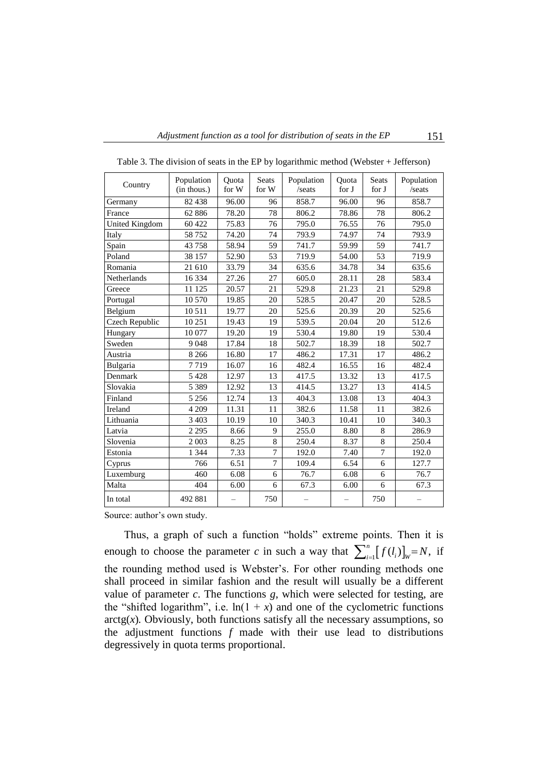| Country               | Population<br>(in thous.) | Ouota<br>for W           | <b>Seats</b><br>for W | Population<br>/seats     | Quota<br>for J           | <b>Seats</b><br>for J | Population<br>/seats     |
|-----------------------|---------------------------|--------------------------|-----------------------|--------------------------|--------------------------|-----------------------|--------------------------|
| Germany               | 82 438                    | 96.00                    | 96                    | 858.7                    | 96.00                    | 96                    | 858.7                    |
| France                | 62 886                    | 78.20                    | 78                    | 806.2                    | 78.86                    | 78                    | 806.2                    |
| <b>United Kingdom</b> | 60 422                    | 75.83                    | 76                    | 795.0                    | 76.55                    | 76                    | 795.0                    |
| Italy                 | 58752                     | 74.20                    | 74                    | 793.9                    | 74.97                    | 74                    | 793.9                    |
| Spain                 | 43 758                    | 58.94                    | 59                    | 741.7                    | 59.99                    | 59                    | 741.7                    |
| Poland                | 38 157                    | 52.90                    | 53                    | 719.9                    | 54.00                    | 53                    | 719.9                    |
| Romania               | 21 610                    | 33.79                    | 34                    | 635.6                    | 34.78                    | 34                    | 635.6                    |
| Netherlands           | 16 3 34                   | 27.26                    | 27                    | 605.0                    | 28.11                    | 28                    | 583.4                    |
| Greece                | 11 125                    | 20.57                    | 21                    | 529.8                    | 21.23                    | 21                    | 529.8                    |
| Portugal              | 10 570                    | 19.85                    | 20                    | 528.5                    | 20.47                    | 20                    | 528.5                    |
| Belgium               | 10511                     | 19.77                    | 20                    | 525.6                    | 20.39                    | 20                    | 525.6                    |
| Czech Republic        | 10 251                    | 19.43                    | 19                    | 539.5                    | 20.04                    | 20                    | 512.6                    |
| Hungary               | 10 077                    | 19.20                    | 19                    | 530.4                    | 19.80                    | 19                    | 530.4                    |
| Sweden                | 9048                      | 17.84                    | 18                    | 502.7                    | 18.39                    | 18                    | 502.7                    |
| Austria               | 8 2 6 6                   | 16.80                    | 17                    | 486.2                    | 17.31                    | 17                    | 486.2                    |
| Bulgaria              | 7719                      | 16.07                    | 16                    | 482.4                    | 16.55                    | 16                    | 482.4                    |
| Denmark               | 5 4 2 8                   | 12.97                    | 13                    | 417.5                    | 13.32                    | 13                    | 417.5                    |
| Slovakia              | 5 3 8 9                   | 12.92                    | 13                    | 414.5                    | 13.27                    | 13                    | 414.5                    |
| Finland               | 5 2 5 6                   | 12.74                    | 13                    | 404.3                    | 13.08                    | 13                    | 404.3                    |
| Ireland               | 4 2 0 9                   | 11.31                    | 11                    | 382.6                    | 11.58                    | 11                    | 382.6                    |
| Lithuania             | 3 4 0 3                   | 10.19                    | 10                    | 340.3                    | 10.41                    | 10                    | 340.3                    |
| Latvia                | 2 2 9 5                   | 8.66                     | 9                     | 255.0                    | 8.80                     | 8                     | 286.9                    |
| Slovenia              | 2 0 0 3                   | 8.25                     | 8                     | 250.4                    | 8.37                     | 8                     | 250.4                    |
| Estonia               | 1 3 4 4                   | 7.33                     | $\overline{7}$        | 192.0                    | 7.40                     | $\overline{7}$        | 192.0                    |
| Cyprus                | 766                       | 6.51                     | $\overline{7}$        | 109.4                    | 6.54                     | 6                     | 127.7                    |
| Luxemburg             | 460                       | 6.08                     | 6                     | 76.7                     | 6.08                     | 6                     | 76.7                     |
| Malta                 | 404                       | 6.00                     | 6                     | 67.3                     | 6.00                     | 6                     | 67.3                     |
| In total              | 492 881                   | $\overline{\phantom{0}}$ | 750                   | $\overline{\phantom{0}}$ | $\overline{\phantom{0}}$ | 750                   | $\overline{\phantom{0}}$ |

Table 3. The division of seats in the EP by logarithmic method (Webster + Jefferson)

Source: author's own study.

Thus, a graph of such a function "holds" extreme points. Then it is enough to choose the parameter *c* in such a way that  $\sum_{i=1}^{n} [f(l_i)]_{w} = N$ , if the rounding method used is Webster"s. For other rounding methods one shall proceed in similar fashion and the result will usually be a different value of parameter *c*. The functions *g*, which were selected for testing, are the "shifted logarithm", i.e.  $ln(1 + x)$  and one of the cyclometric functions  $\arctg(x)$ . Obviously, both functions satisfy all the necessary assumptions, so the adjustment functions *f* made with their use lead to distributions degressively in quota terms proportional.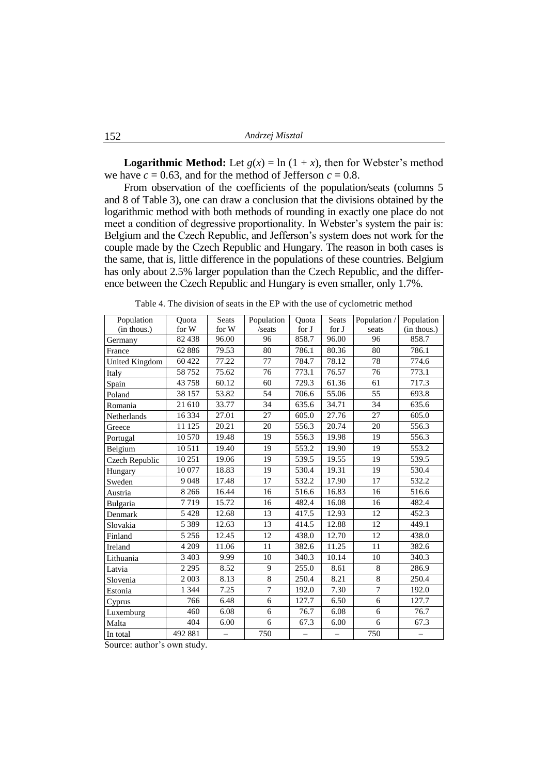**Logarithmic Method:** Let  $g(x) = \ln(1 + x)$ , then for Webster's method we have  $c = 0.63$ , and for the method of Jefferson  $c = 0.8$ .

From observation of the coefficients of the population/seats (columns 5 and 8 of Table 3), one can draw a conclusion that the divisions obtained by the logarithmic method with both methods of rounding in exactly one place do not meet a condition of degressive proportionality. In Webster's system the pair is: Belgium and the Czech Republic, and Jefferson"s system does not work for the couple made by the Czech Republic and Hungary. The reason in both cases is the same, that is, little difference in the populations of these countries. Belgium has only about 2.5% larger population than the Czech Republic, and the difference between the Czech Republic and Hungary is even smaller, only 1.7%.

| Population     | Quota             | <b>Seats</b>             | Population      | Ouota                    | <b>Seats</b>                  | Population /    | Population  |
|----------------|-------------------|--------------------------|-----------------|--------------------------|-------------------------------|-----------------|-------------|
| (in thous.)    | for W             | for W                    | /seats          | for J                    | for $\boldsymbol{\mathrm{J}}$ | seats           | (in thous.) |
| Germany        | 82 438            | 96.00                    | 96              | 858.7                    | 96.00                         | 96              | 858.7       |
| France         | 62 886            | 79.53                    | 80              | 786.1                    | 80.36                         | 80              | 786.1       |
| United Kingdom | 60 422            | 77.22                    | 77              | 784.7                    | 78.12                         | 78              | 774.6       |
| Italy          | 58752             | 75.62                    | 76              | 773.1                    | 76.57                         | 76              | 773.1       |
| Spain          | 43758             | 60.12                    | 60              | 729.3                    | 61.36                         | 61              | 717.3       |
| Poland         | 38 157            | 53.82                    | 54              | 706.6                    | 55.06                         | 55              | 693.8       |
| Romania        | 21 610            | 33.77                    | $\overline{34}$ | 635.6                    | 34.71                         | 34              | 635.6       |
| Netherlands    | 16 3 34           | 27.01                    | 27              | 605.0                    | 27.76                         | 27              | 605.0       |
| Greece         | 11 125            | 20.21                    | 20              | 556.3                    | 20.74                         | 20              | 556.3       |
| Portugal       | 10 570            | 19.48                    | 19              | 556.3                    | 19.98                         | 19              | 556.3       |
| Belgium        | 10511             | 19.40                    | 19              | 553.2                    | 19.90                         | 19              | 553.2       |
| Czech Republic | 10 25 1           | 19.06                    | 19              | 539.5                    | 19.55                         | 19              | 539.5       |
| Hungary        | 10 077            | 18.83                    | $\overline{19}$ | 530.4                    | 19.31                         | $\overline{19}$ | 530.4       |
| Sweden         | 9048              | 17.48                    | 17              | 532.2                    | 17.90                         | 17              | 532.2       |
| Austria        | 8 2 6 6           | 16.44                    | 16              | 516.6                    | 16.83                         | 16              | 516.6       |
| Bulgaria       | 7719              | 15.72                    | 16              | 482.4                    | 16.08                         | 16              | 482.4       |
| Denmark        | 5 4 2 8           | 12.68                    | 13              | 417.5                    | 12.93                         | 12              | 452.3       |
| Slovakia       | 5 3 8 9           | 12.63                    | 13              | 414.5                    | 12.88                         | 12              | 449.1       |
| Finland        | 5 2 5 6           | 12.45                    | 12              | 438.0                    | 12.70                         | 12              | 438.0       |
| Ireland        | $\frac{1}{4}$ 209 | 11.06                    | 11              | 382.6                    | 11.25                         | 11              | 382.6       |
| Lithuania      | 3 4 0 3           | 9.99                     | 10              | 340.3                    | 10.14                         | 10              | 340.3       |
| Latvia         | 2 2 9 5           | 8.52                     | 9               | 255.0                    | 8.61                          | $\,8\,$         | 286.9       |
| Slovenia       | 2 0 0 3           | 8.13                     | 8               | 250.4                    | 8.21                          | 8               | 250.4       |
| Estonia        | 1 3 4 4           | 7.25                     | $\tau$          | 192.0                    | 7.30                          | $\tau$          | 192.0       |
| Cyprus         | 766               | 6.48                     | 6               | 127.7                    | 6.50                          | 6               | 127.7       |
| Luxemburg      | 460               | 6.08                     | 6               | 76.7                     | 6.08                          | 6               | 76.7        |
| Malta          | 404               | 6.00                     | 6               | 67.3                     | 6.00                          | 6               | 67.3        |
| In total       | 492 881           | $\overline{\phantom{0}}$ | 750             | $\overline{\phantom{0}}$ | $\overline{\phantom{0}}$      | 750             |             |

Table 4. The division of seats in the EP with the use of cyclometric method

Source: author's own study.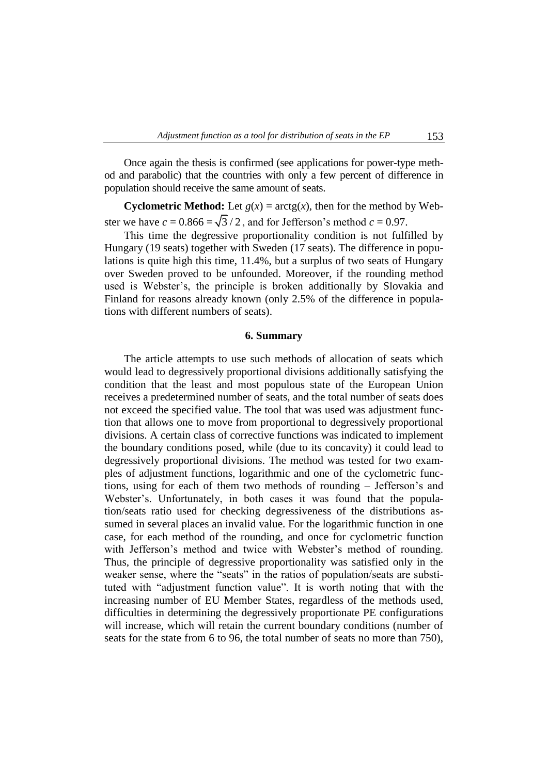Once again the thesis is confirmed (see applications for power-type method and parabolic) that the countries with only a few percent of difference in population should receive the same amount of seats.

**Cyclometric Method:** Let  $g(x) = \arctg(x)$ , then for the method by Webster we have  $c = 0.866 = \sqrt{3}/2$ , and for Jefferson's method  $c = 0.97$ .

This time the degressive proportionality condition is not fulfilled by Hungary (19 seats) together with Sweden (17 seats). The difference in populations is quite high this time, 11.4%, but a surplus of two seats of Hungary over Sweden proved to be unfounded. Moreover, if the rounding method used is Webster"s, the principle is broken additionally by Slovakia and Finland for reasons already known (only 2.5% of the difference in populations with different numbers of seats).

#### **6. Summary**

The article attempts to use such methods of allocation of seats which would lead to degressively proportional divisions additionally satisfying the condition that the least and most populous state of the European Union receives a predetermined number of seats, and the total number of seats does not exceed the specified value. The tool that was used was adjustment function that allows one to move from proportional to degressively proportional divisions. A certain class of corrective functions was indicated to implement the boundary conditions posed, while (due to its concavity) it could lead to degressively proportional divisions. The method was tested for two examples of adjustment functions, logarithmic and one of the cyclometric functions, using for each of them two methods of rounding – Jefferson"s and Webster's. Unfortunately, in both cases it was found that the population/seats ratio used for checking degressiveness of the distributions assumed in several places an invalid value. For the logarithmic function in one case, for each method of the rounding, and once for cyclometric function with Jefferson's method and twice with Webster's method of rounding. Thus, the principle of degressive proportionality was satisfied only in the weaker sense, where the "seats" in the ratios of population/seats are substituted with "adjustment function value". It is worth noting that with the increasing number of EU Member States, regardless of the methods used, difficulties in determining the degressively proportionate PE configurations will increase, which will retain the current boundary conditions (number of seats for the state from 6 to 96, the total number of seats no more than 750),